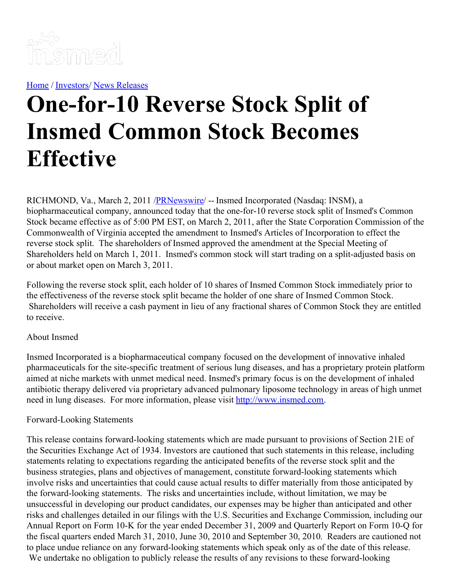

[Home](https://insmed.com/) / [Investors](https://investor.insmed.com/index)/ News [Releases](https://investor.insmed.com/releases)

## **One-for-10 Reverse Stock Split of Insmed Common Stock Becomes Effective**

RICHMOND, Va., March 2, 2011 [/PRNewswire](http://www.prnewswire.com/)/ -- Insmed Incorporated (Nasdaq: INSM), a biopharmaceutical company, announced today that the one-for-10 reverse stock split of Insmed's Common Stock became effective as of 5:00 PM EST, on March 2, 2011, after the State Corporation Commission of the Commonwealth of Virginia accepted the amendment to Insmed's Articles of Incorporation to effect the reverse stock split. The shareholders of Insmed approved the amendment at the Special Meeting of Shareholders held on March 1, 2011. Insmed's common stock will start trading on a split-adjusted basis on or about market open on March 3, 2011.

Following the reverse stock split, each holder of 10 shares of Insmed Common Stock immediately prior to the effectiveness of the reverse stock split became the holder of one share of Insmed Common Stock. Shareholders will receive a cash payment in lieu of any fractional shares of Common Stock they are entitled to receive.

## About Insmed

Insmed Incorporated is a biopharmaceutical company focused on the development of innovative inhaled pharmaceuticals for the site-specific treatment of serious lung diseases, and has a proprietary protein platform aimed at niche markets with unmet medical need. Insmed's primary focus is on the development of inhaled antibiotic therapy delivered via proprietary advanced pulmonary liposome technology in areas of high unmet need in lung diseases. For more information, please visit [http://www.insmed.com](http://www.insmed.com/).

## Forward-Looking Statements

This release contains forward-looking statements which are made pursuant to provisions of Section 21E of the Securities Exchange Act of 1934. Investors are cautioned that such statements in this release, including statements relating to expectations regarding the anticipated benefits of the reverse stock split and the business strategies, plans and objectives of management, constitute forward-looking statements which involve risks and uncertainties that could cause actual results to differ materially from those anticipated by the forward-looking statements. The risks and uncertainties include, without limitation, we may be unsuccessful in developing our product candidates, our expenses may be higher than anticipated and other risks and challenges detailed in our filings with the U.S. Securities and Exchange Commission, including our Annual Report on Form 10-K for the year ended December 31, 2009 and Quarterly Report on Form 10-Q for the fiscal quarters ended March 31, 2010, June 30, 2010 and September 30, 2010. Readers are cautioned not to place undue reliance on any forward-looking statements which speak only as of the date of this release. We undertake no obligation to publicly release the results of any revisions to these forward-looking